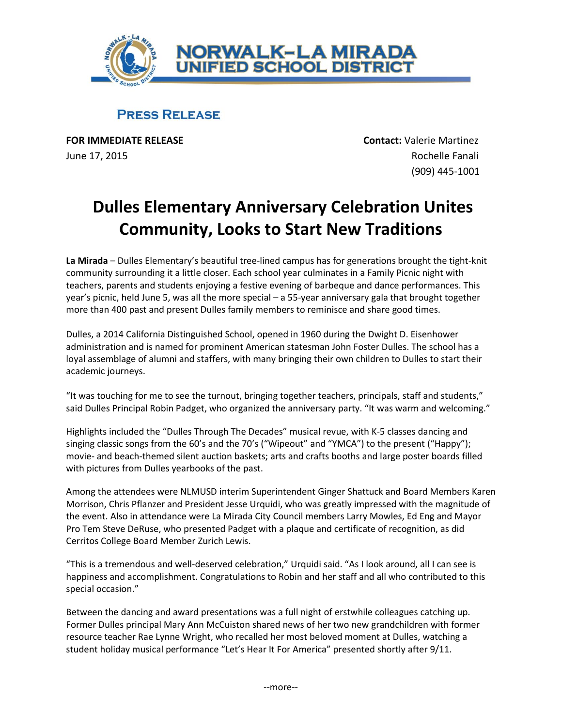

## **PRESS RELEASE**

**FOR IMMEDIATE RELEASE CONTACT ACCORDING TO A CONTACT CONTACT CONTACT A CONTACT AND RELEASE** June 17, 2015 **Rochelle Fanali** 

(909) 445-1001

## **Dulles Elementary Anniversary Celebration Unites Community, Looks to Start New Traditions**

**La Mirada** – Dulles Elementary's beautiful tree-lined campus has for generations brought the tight-knit community surrounding it a little closer. Each school year culminates in a Family Picnic night with teachers, parents and students enjoying a festive evening of barbeque and dance performances. This year's picnic, held June 5, was all the more special – a 55-year anniversary gala that brought together more than 400 past and present Dulles family members to reminisce and share good times.

Dulles, a 2014 California Distinguished School, opened in 1960 during the Dwight D. Eisenhower administration and is named for prominent American statesman John Foster Dulles. The school has a loyal assemblage of alumni and staffers, with many bringing their own children to Dulles to start their academic journeys.

"It was touching for me to see the turnout, bringing together teachers, principals, staff and students," said Dulles Principal Robin Padget, who organized the anniversary party. "It was warm and welcoming."

Highlights included the "Dulles Through The Decades" musical revue, with K-5 classes dancing and singing classic songs from the 60's and the 70's ("Wipeout" and "YMCA") to the present ("Happy"); movie- and beach-themed silent auction baskets; arts and crafts booths and large poster boards filled with pictures from Dulles yearbooks of the past.

Among the attendees were NLMUSD interim Superintendent Ginger Shattuck and Board Members Karen Morrison, Chris Pflanzer and President Jesse Urquidi, who was greatly impressed with the magnitude of the event. Also in attendance were La Mirada City Council members Larry Mowles, Ed Eng and Mayor Pro Tem Steve DeRuse, who presented Padget with a plaque and certificate of recognition, as did Cerritos College Board Member Zurich Lewis.

"This is a tremendous and well-deserved celebration," Urquidi said. "As I look around, all I can see is happiness and accomplishment. Congratulations to Robin and her staff and all who contributed to this special occasion."

Between the dancing and award presentations was a full night of erstwhile colleagues catching up. Former Dulles principal Mary Ann McCuiston shared news of her two new grandchildren with former resource teacher Rae Lynne Wright, who recalled her most beloved moment at Dulles, watching a student holiday musical performance "Let's Hear It For America" presented shortly after 9/11.